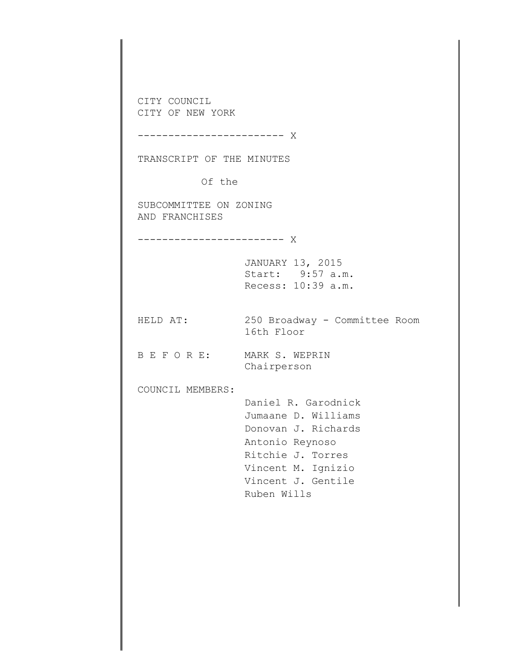CITY COUNCIL CITY OF NEW YORK ------------------------ X TRANSCRIPT OF THE MINUTES Of the SUBCOMMITTEE ON ZONING AND FRANCHISES ------------------------ X JANUARY 13, 2015 Start: 9:57 a.m. Recess: 10:39 a.m. HELD AT: 250 Broadway - Committee Room 16th Floor B E F O R E: MARK S. WEPRIN Chairperson COUNCIL MEMBERS: Daniel R. Garodnick Jumaane D. Williams Donovan J. Richards Antonio Reynoso Ritchie J. Torres Vincent M. Ignizio Vincent J. Gentile Ruben Wills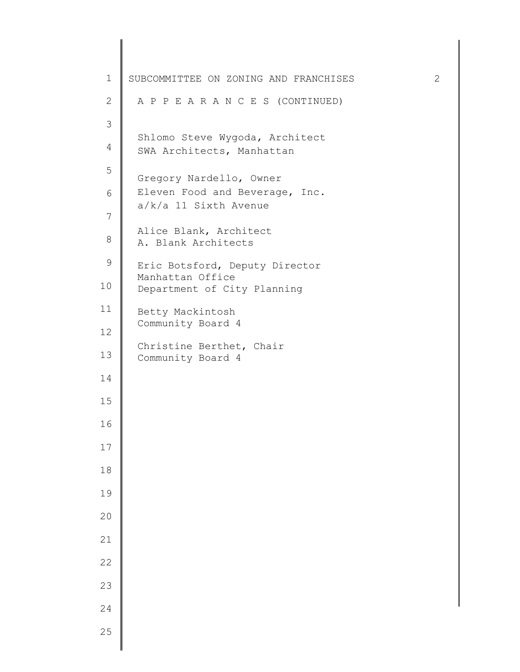| $\mathbf 1$    | SUBCOMMITTEE ON ZONING AND FRANCHISES                       | $\mathbf{2}$ |
|----------------|-------------------------------------------------------------|--------------|
| $\mathbf{2}$   | A P P E A R A N C E S (CONTINUED)                           |              |
| 3              |                                                             |              |
| $\overline{4}$ | Shlomo Steve Wygoda, Architect<br>SWA Architects, Manhattan |              |
| 5              | Gregory Nardello, Owner                                     |              |
| 6              | Eleven Food and Beverage, Inc.                              |              |
| $\overline{7}$ | $a/k/a$ 11 Sixth Avenue                                     |              |
| 8              | Alice Blank, Architect<br>A. Blank Architects               |              |
| $\mathsf 9$    | Eric Botsford, Deputy Director                              |              |
| 10             | Manhattan Office<br>Department of City Planning             |              |
| 11             | Betty Mackintosh                                            |              |
| 12             | Community Board 4                                           |              |
| 13             | Christine Berthet, Chair<br>Community Board 4               |              |
| 14             |                                                             |              |
| 15             |                                                             |              |
| 16             |                                                             |              |
| 17             |                                                             |              |
| $1\,8$         |                                                             |              |
| 19             |                                                             |              |
| 20             |                                                             |              |
| 21             |                                                             |              |
| $2\sqrt{2}$    |                                                             |              |
| 23             |                                                             |              |
| 24             |                                                             |              |
| 25             |                                                             |              |
|                |                                                             |              |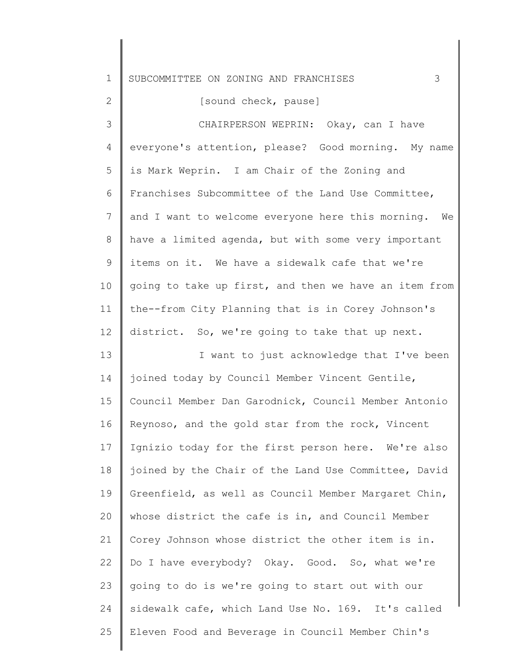| $\mathbf 1$  | 3<br>SUBCOMMITTEE ON ZONING AND FRANCHISES            |
|--------------|-------------------------------------------------------|
| $\mathbf{2}$ | [sound check, pause]                                  |
| 3            | CHAIRPERSON WEPRIN: Okay, can I have                  |
| 4            | everyone's attention, please? Good morning. My name   |
| 5            | is Mark Weprin. I am Chair of the Zoning and          |
| 6            | Franchises Subcommittee of the Land Use Committee,    |
| 7            | and I want to welcome everyone here this morning. We  |
| 8            | have a limited agenda, but with some very important   |
| 9            | items on it. We have a sidewalk cafe that we're       |
| 10           | going to take up first, and then we have an item from |
| 11           | the--from City Planning that is in Corey Johnson's    |
| 12           | district. So, we're going to take that up next.       |
| 13           | I want to just acknowledge that I've been             |
| 14           | joined today by Council Member Vincent Gentile,       |
| 15           | Council Member Dan Garodnick, Council Member Antonio  |
| 16           | Reynoso, and the gold star from the rock, Vincent     |
| 17           | Ignizio today for the first person here. We're also   |
| 18           | joined by the Chair of the Land Use Committee, David  |
| 19           | Greenfield, as well as Council Member Margaret Chin,  |
| 20           | whose district the cafe is in, and Council Member     |
| 21           | Corey Johnson whose district the other item is in.    |
| 22           | Do I have everybody? Okay. Good. So, what we're       |
| 23           | going to do is we're going to start out with our      |
| 24           | sidewalk cafe, which Land Use No. 169. It's called    |
| 25           | Eleven Food and Beverage in Council Member Chin's     |

 $\mathsf I$ 

 $\parallel$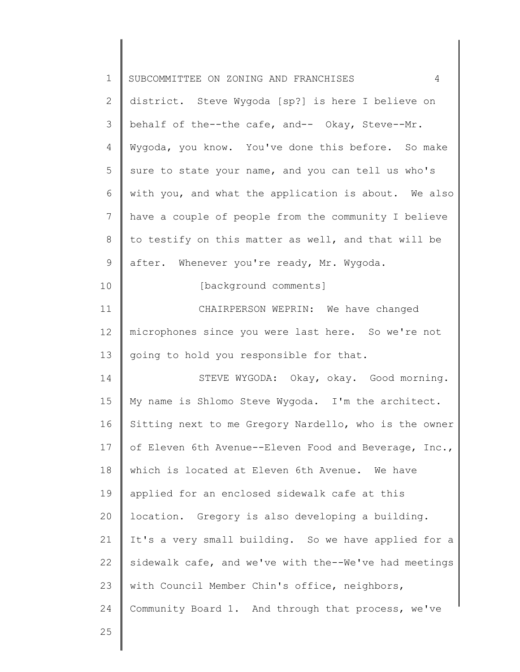| $\mathbf 1$  | SUBCOMMITTEE ON ZONING AND FRANCHISES<br>4            |
|--------------|-------------------------------------------------------|
| $\mathbf{2}$ | district. Steve Wygoda [sp?] is here I believe on     |
| 3            | behalf of the--the cafe, and-- Okay, Steve--Mr.       |
| 4            | Wygoda, you know. You've done this before. So make    |
| 5            | sure to state your name, and you can tell us who's    |
| 6            | with you, and what the application is about. We also  |
| 7            | have a couple of people from the community I believe  |
| 8            | to testify on this matter as well, and that will be   |
| 9            | after. Whenever you're ready, Mr. Wygoda.             |
| 10           | [background comments]                                 |
| 11           | CHAIRPERSON WEPRIN: We have changed                   |
| 12           | microphones since you were last here. So we're not    |
| 13           | going to hold you responsible for that.               |
| 14           | STEVE WYGODA: Okay, okay. Good morning.               |
| 15           | My name is Shlomo Steve Wygoda. I'm the architect.    |
| 16           | Sitting next to me Gregory Nardello, who is the owner |
| 17           | of Eleven 6th Avenue--Eleven Food and Beverage, Inc., |
| 18           | which is located at Eleven 6th Avenue. We have        |
| 19           | applied for an enclosed sidewalk cafe at this         |
| 20           | location. Gregory is also developing a building.      |
| 21           | It's a very small building. So we have applied for a  |
| 22           | sidewalk cafe, and we've with the--We've had meetings |
| 23           | with Council Member Chin's office, neighbors,         |
| 24           | Community Board 1. And through that process, we've    |
| 25           |                                                       |
|              |                                                       |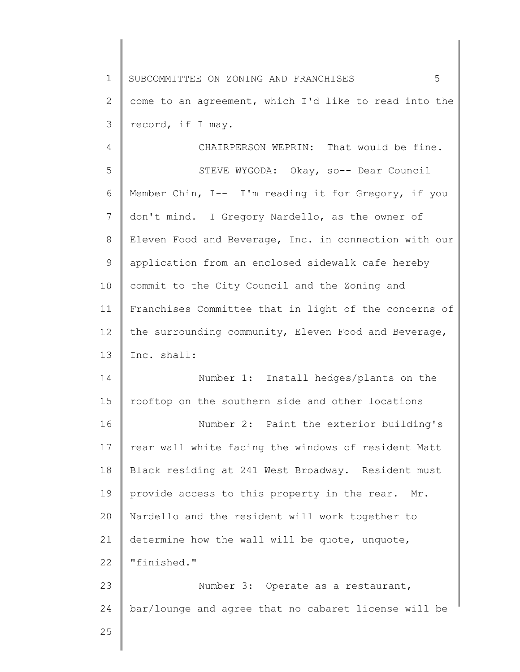2 3 come to an agreement, which I'd like to read into the record, if I may.

4 5 6 7 8 9 10 11 12 13 CHAIRPERSON WEPRIN: That would be fine. STEVE WYGODA: Okay, so-- Dear Council Member Chin, I-- I'm reading it for Gregory, if you don't mind. I Gregory Nardello, as the owner of Eleven Food and Beverage, Inc. in connection with our application from an enclosed sidewalk cafe hereby commit to the City Council and the Zoning and Franchises Committee that in light of the concerns of the surrounding community, Eleven Food and Beverage, Inc. shall:

14 15 Number 1: Install hedges/plants on the rooftop on the southern side and other locations

16 17 18 19 20 21 22 Number 2: Paint the exterior building's rear wall white facing the windows of resident Matt Black residing at 241 West Broadway. Resident must provide access to this property in the rear. Mr. Nardello and the resident will work together to determine how the wall will be quote, unquote, "finished."

23 24 Number 3: Operate as a restaurant, bar/lounge and agree that no cabaret license will be

25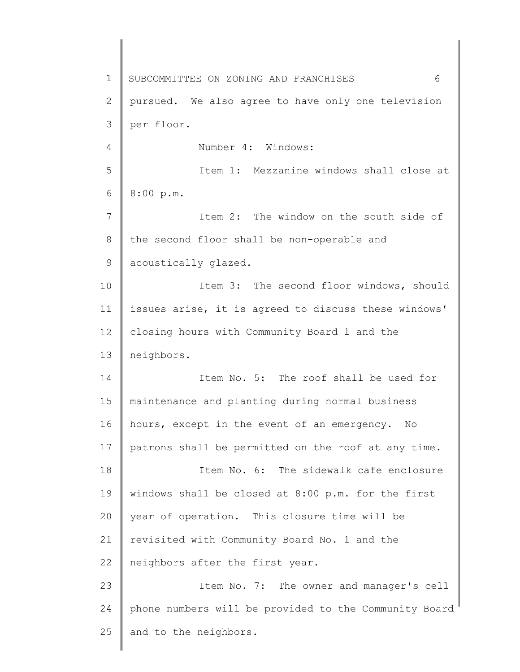1 2 3 4 5 6 7 8 9 10 11 12 13 14 15 16 17 18 19 20 21 22 23 24 25 SUBCOMMITTEE ON ZONING AND FRANCHISES 6 pursued. We also agree to have only one television per floor. Number 4: Windows: Item 1: Mezzanine windows shall close at 8:00 p.m. Item 2: The window on the south side of the second floor shall be non-operable and acoustically glazed. Item 3: The second floor windows, should issues arise, it is agreed to discuss these windows' closing hours with Community Board 1 and the neighbors. Item No. 5: The roof shall be used for maintenance and planting during normal business hours, except in the event of an emergency. No patrons shall be permitted on the roof at any time. Item No. 6: The sidewalk cafe enclosure windows shall be closed at 8:00 p.m. for the first year of operation. This closure time will be revisited with Community Board No. 1 and the neighbors after the first year. Item No. 7: The owner and manager's cell phone numbers will be provided to the Community Board and to the neighbors.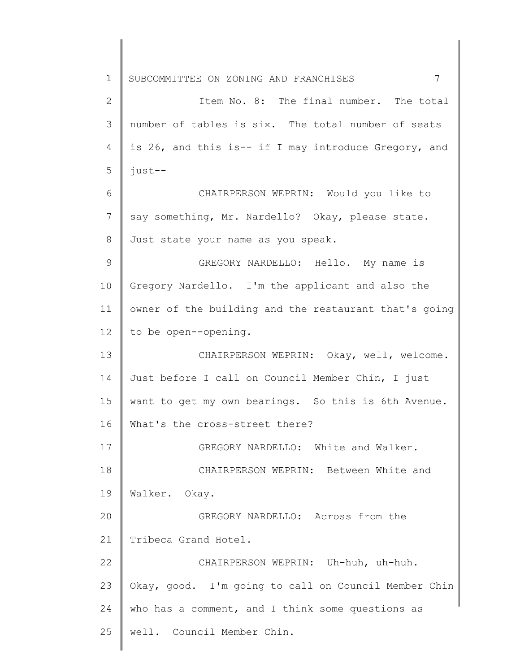1 2 3 4 5 6 7 8 9 10 11 12 13 14 15 16 17 18 19 20 21 22 23 24 25 SUBCOMMITTEE ON ZONING AND FRANCHISES 7 Item No. 8: The final number. The total number of tables is six. The total number of seats is 26, and this is-- if I may introduce Gregory, and just-- CHAIRPERSON WEPRIN: Would you like to say something, Mr. Nardello? Okay, please state. Just state your name as you speak. GREGORY NARDELLO: Hello. My name is Gregory Nardello. I'm the applicant and also the owner of the building and the restaurant that's going to be open--opening. CHAIRPERSON WEPRIN: Okay, well, welcome. Just before I call on Council Member Chin, I just want to get my own bearings. So this is 6th Avenue. What's the cross-street there? GREGORY NARDELLO: White and Walker. CHAIRPERSON WEPRIN: Between White and Walker. Okay. GREGORY NARDELLO: Across from the Tribeca Grand Hotel. CHAIRPERSON WEPRIN: Uh-huh, uh-huh. Okay, good. I'm going to call on Council Member Chin who has a comment, and I think some questions as well. Council Member Chin.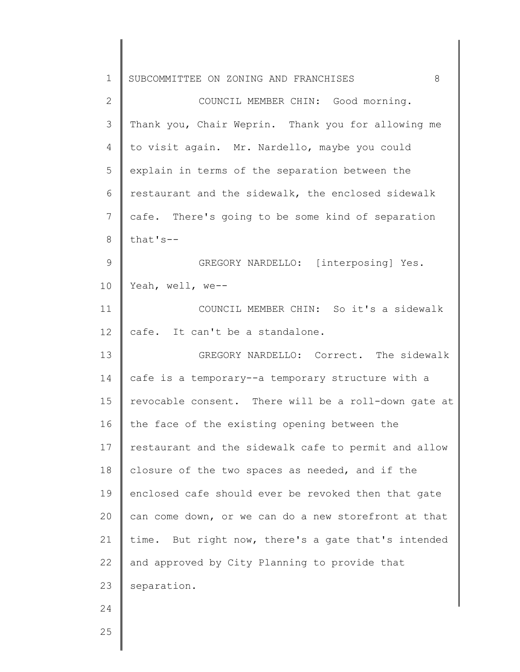| $\mathbf 1$  | 8<br>SUBCOMMITTEE ON ZONING AND FRANCHISES           |
|--------------|------------------------------------------------------|
| $\mathbf{2}$ | COUNCIL MEMBER CHIN: Good morning.                   |
| 3            | Thank you, Chair Weprin. Thank you for allowing me   |
| 4            | to visit again. Mr. Nardello, maybe you could        |
| 5            | explain in terms of the separation between the       |
| 6            | restaurant and the sidewalk, the enclosed sidewalk   |
| 7            | cafe. There's going to be some kind of separation    |
| 8            | that's--                                             |
| $\mathsf 9$  | GREGORY NARDELLO: [interposing] Yes.                 |
| 10           | Yeah, well, we--                                     |
| 11           | COUNCIL MEMBER CHIN: So it's a sidewalk              |
| 12           | cafe. It can't be a standalone.                      |
| 13           | GREGORY NARDELLO: Correct. The sidewalk              |
| 14           | cafe is a temporary--a temporary structure with a    |
| 15           | revocable consent. There will be a roll-down gate at |
| 16           | the face of the existing opening between the         |
| 17           | restaurant and the sidewalk cafe to permit and allow |
| 18           | closure of the two spaces as needed, and if the      |
| 19           | enclosed cafe should ever be revoked then that gate  |
| 20           | can come down, or we can do a new storefront at that |
| 21           | time. But right now, there's a gate that's intended  |
| 22           | and approved by City Planning to provide that        |
| 23           | separation.                                          |
| 24           |                                                      |
| 25           |                                                      |
|              |                                                      |

║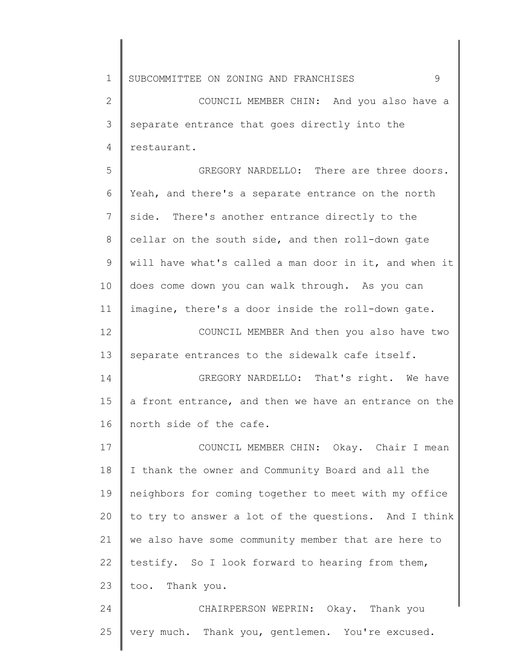| $\mathbf 1$  | 9<br>SUBCOMMITTEE ON ZONING AND FRANCHISES            |
|--------------|-------------------------------------------------------|
| $\mathbf{2}$ | COUNCIL MEMBER CHIN: And you also have a              |
| 3            | separate entrance that goes directly into the         |
| 4            | restaurant.                                           |
| 5            | GREGORY NARDELLO: There are three doors.              |
| 6            | Yeah, and there's a separate entrance on the north    |
| 7            | side. There's another entrance directly to the        |
| 8            | cellar on the south side, and then roll-down gate     |
| 9            | will have what's called a man door in it, and when it |
| 10           | does come down you can walk through. As you can       |
| 11           | imagine, there's a door inside the roll-down gate.    |
| 12           | COUNCIL MEMBER And then you also have two             |
| 13           | separate entrances to the sidewalk cafe itself.       |
| 14           | GREGORY NARDELLO: That's right. We have               |
| 15           | a front entrance, and then we have an entrance on the |
| 16           | north side of the cafe.                               |
| 17           | COUNCIL MEMBER CHIN: Okay. Chair I mean               |
| 18           | I thank the owner and Community Board and all the     |
| 19           | neighbors for coming together to meet with my office  |
| 20           | to try to answer a lot of the questions. And I think  |
| 21           | we also have some community member that are here to   |
| 22           | testify. So I look forward to hearing from them,      |
| 23           | too. Thank you.                                       |
| 24           | CHAIRPERSON WEPRIN: Okay. Thank you                   |
| 25           | very much. Thank you, gentlemen. You're excused.      |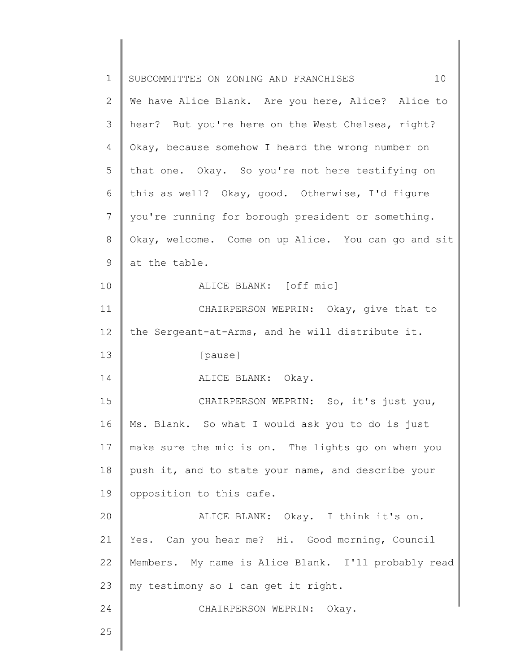| $\mathbf 1$ | SUBCOMMITTEE ON ZONING AND FRANCHISES<br>10         |
|-------------|-----------------------------------------------------|
| 2           | We have Alice Blank. Are you here, Alice? Alice to  |
| 3           | hear? But you're here on the West Chelsea, right?   |
| 4           | Okay, because somehow I heard the wrong number on   |
| 5           | that one. Okay. So you're not here testifying on    |
| 6           | this as well? Okay, good. Otherwise, I'd figure     |
| 7           | you're running for borough president or something.  |
| 8           | Okay, welcome. Come on up Alice. You can go and sit |
| 9           | at the table.                                       |
| 10          | ALICE BLANK: [off mic]                              |
| 11          | CHAIRPERSON WEPRIN: Okay, give that to              |
| 12          | the Sergeant-at-Arms, and he will distribute it.    |
| 13          | [pause]                                             |
| 14          | ALICE BLANK: Okay.                                  |
| 15          | CHAIRPERSON WEPRIN: So, it's just you,              |
| 16          | Ms. Blank. So what I would ask you to do is just    |
| 17          | make sure the mic is on. The lights go on when you  |
| 18          | push it, and to state your name, and describe your  |
| 19          | opposition to this cafe.                            |
| 20          | ALICE BLANK: Okay. I think it's on.                 |
| 21          | Yes. Can you hear me? Hi. Good morning, Council     |
| 22          | Members. My name is Alice Blank. I'll probably read |
| 23          | my testimony so I can get it right.                 |
| 24          | CHAIRPERSON WEPRIN: Okay.                           |
| 25          |                                                     |
|             |                                                     |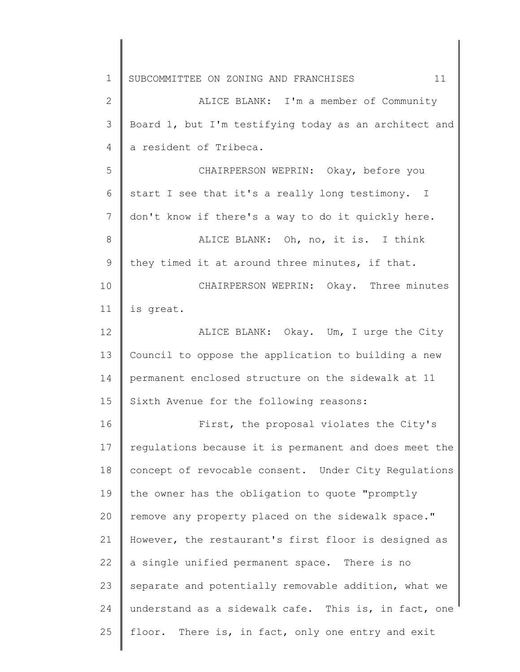1 2 3 4 5 6 7 8 9 10 11 12 13 14 15 16 17 18 19 20 21 22 23 24 25 SUBCOMMITTEE ON ZONING AND FRANCHISES 11 ALICE BLANK: I'm a member of Community Board 1, but I'm testifying today as an architect and a resident of Tribeca. CHAIRPERSON WEPRIN: Okay, before you start I see that it's a really long testimony. I don't know if there's a way to do it quickly here. ALICE BLANK: Oh, no, it is. I think they timed it at around three minutes, if that. CHAIRPERSON WEPRIN: Okay. Three minutes is great. ALICE BLANK: Okay. Um, I urge the City Council to oppose the application to building a new permanent enclosed structure on the sidewalk at 11 Sixth Avenue for the following reasons: First, the proposal violates the City's regulations because it is permanent and does meet the concept of revocable consent. Under City Regulations the owner has the obligation to quote "promptly remove any property placed on the sidewalk space." However, the restaurant's first floor is designed as a single unified permanent space. There is no separate and potentially removable addition, what we understand as a sidewalk cafe. This is, in fact, one floor. There is, in fact, only one entry and exit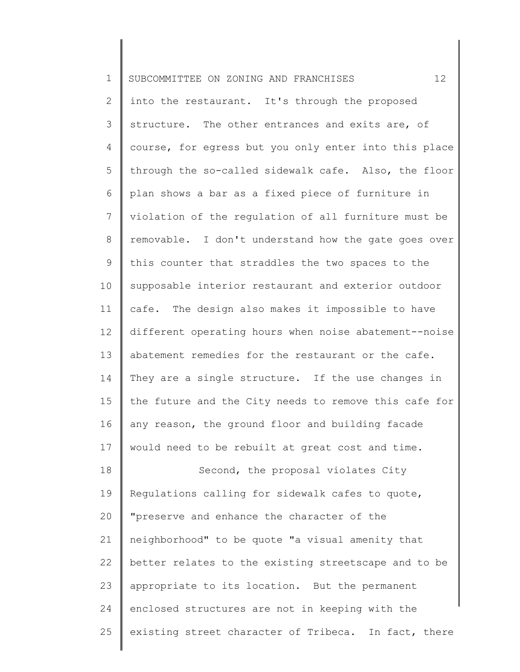| $\mathbf 1$  | 12<br>SUBCOMMITTEE ON ZONING AND FRANCHISES           |
|--------------|-------------------------------------------------------|
| $\mathbf{2}$ | into the restaurant. It's through the proposed        |
| 3            | structure. The other entrances and exits are, of      |
| 4            | course, for egress but you only enter into this place |
| 5            | through the so-called sidewalk cafe. Also, the floor  |
| 6            | plan shows a bar as a fixed piece of furniture in     |
| 7            | violation of the regulation of all furniture must be  |
| $8\,$        | removable. I don't understand how the gate goes over  |
| 9            | this counter that straddles the two spaces to the     |
| 10           | supposable interior restaurant and exterior outdoor   |
| 11           | cafe. The design also makes it impossible to have     |
| 12           | different operating hours when noise abatement--noise |
| 13           | abatement remedies for the restaurant or the cafe.    |
| 14           | They are a single structure. If the use changes in    |
| 15           | the future and the City needs to remove this cafe for |
| 16           | any reason, the ground floor and building facade      |
| 17           | would need to be rebuilt at great cost and time.      |
| 18           | Second, the proposal violates City                    |
| 19           | Regulations calling for sidewalk cafes to quote,      |
| 20           | "preserve and enhance the character of the            |
| 21           | neighborhood" to be quote "a visual amenity that      |
| 22           | better relates to the existing streetscape and to be  |
| 23           | appropriate to its location. But the permanent        |
| 24           | enclosed structures are not in keeping with the       |
| 25           | existing street character of Tribeca. In fact, there  |

║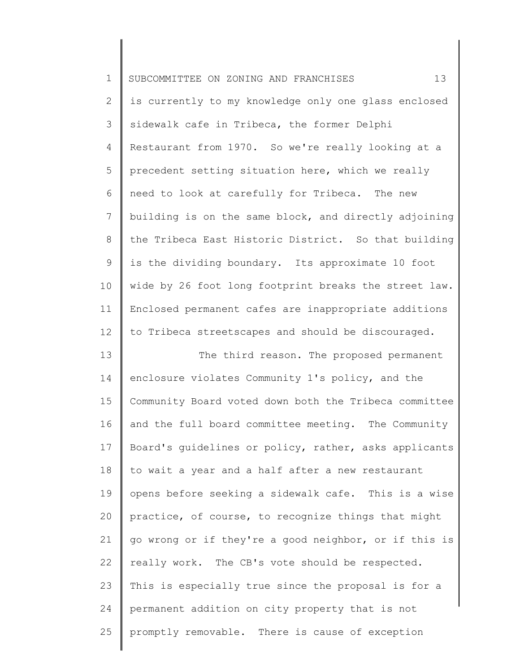| $\mathbf 1$    | 13<br>SUBCOMMITTEE ON ZONING AND FRANCHISES           |
|----------------|-------------------------------------------------------|
| $\overline{2}$ | is currently to my knowledge only one glass enclosed  |
| 3              | sidewalk cafe in Tribeca, the former Delphi           |
| 4              | Restaurant from 1970. So we're really looking at a    |
| 5              | precedent setting situation here, which we really     |
| 6              | need to look at carefully for Tribeca. The new        |
| $\overline{7}$ | building is on the same block, and directly adjoining |
| $8\,$          | the Tribeca East Historic District. So that building  |
| $\mathsf 9$    | is the dividing boundary. Its approximate 10 foot     |
| 10             | wide by 26 foot long footprint breaks the street law. |
| 11             | Enclosed permanent cafes are inappropriate additions  |
| 12             | to Tribeca streetscapes and should be discouraged.    |
| 13             | The third reason. The proposed permanent              |
| 14             | enclosure violates Community 1's policy, and the      |
| 15             | Community Board voted down both the Tribeca committee |
| 16             | and the full board committee meeting. The Community   |
| 17             | Board's guidelines or policy, rather, asks applicants |
| 18             | to wait a year and a half after a new restaurant      |
| 19             | opens before seeking a sidewalk cafe. This is a wise  |
| 20             | practice, of course, to recognize things that might   |
| 21             | go wrong or if they're a good neighbor, or if this is |
| 22             | really work. The CB's vote should be respected.       |
| 23             | This is especially true since the proposal is for a   |
| 24             | permanent addition on city property that is not       |
| 25             | promptly removable. There is cause of exception       |

║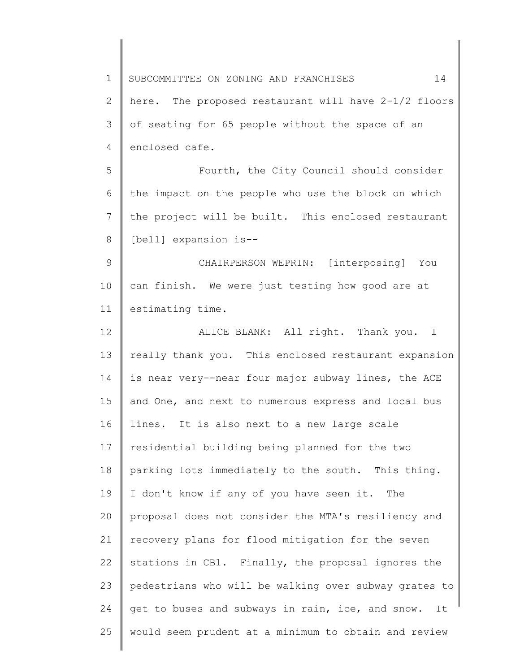1 2 3 4 5 6 7 8 9 10 11 12 13 14 15 16 17 18 19 20 21 22 23 24 25 SUBCOMMITTEE ON ZONING AND FRANCHISES 14 here. The proposed restaurant will have 2-1/2 floors of seating for 65 people without the space of an enclosed cafe. Fourth, the City Council should consider the impact on the people who use the block on which the project will be built. This enclosed restaurant [bell] expansion is--CHAIRPERSON WEPRIN: [interposing] You can finish. We were just testing how good are at estimating time. ALICE BLANK: All right. Thank you. I really thank you. This enclosed restaurant expansion is near very--near four major subway lines, the ACE and One, and next to numerous express and local bus lines. It is also next to a new large scale residential building being planned for the two parking lots immediately to the south. This thing. I don't know if any of you have seen it. The proposal does not consider the MTA's resiliency and recovery plans for flood mitigation for the seven stations in CB1. Finally, the proposal ignores the pedestrians who will be walking over subway grates to get to buses and subways in rain, ice, and snow. It would seem prudent at a minimum to obtain and review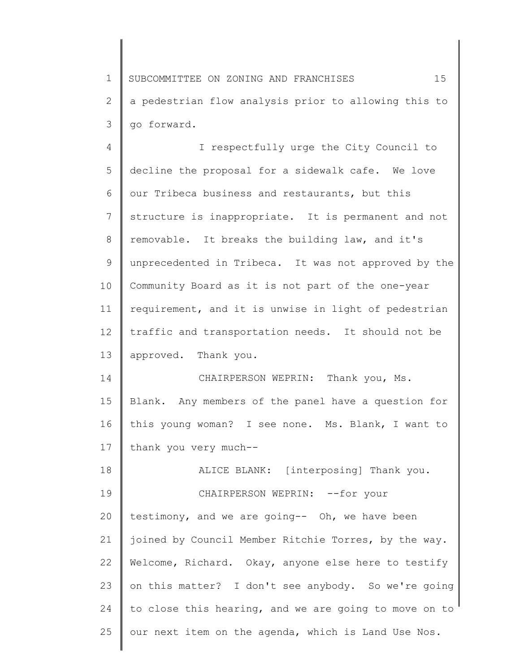1 2 3 SUBCOMMITTEE ON ZONING AND FRANCHISES 15 a pedestrian flow analysis prior to allowing this to go forward.

4 5 6 7 8 9 10 11 12 13 I respectfully urge the City Council to decline the proposal for a sidewalk cafe. We love our Tribeca business and restaurants, but this structure is inappropriate. It is permanent and not removable. It breaks the building law, and it's unprecedented in Tribeca. It was not approved by the Community Board as it is not part of the one-year requirement, and it is unwise in light of pedestrian traffic and transportation needs. It should not be approved. Thank you.

14 15 16 17 CHAIRPERSON WEPRIN: Thank you, Ms. Blank. Any members of the panel have a question for this young woman? I see none. Ms. Blank, I want to thank you very much--

18 19 20 21 22 23 24 25 ALICE BLANK: [interposing] Thank you. CHAIRPERSON WEPRIN: --for your testimony, and we are going-- Oh, we have been joined by Council Member Ritchie Torres, by the way. Welcome, Richard. Okay, anyone else here to testify on this matter? I don't see anybody. So we're going to close this hearing, and we are going to move on to our next item on the agenda, which is Land Use Nos.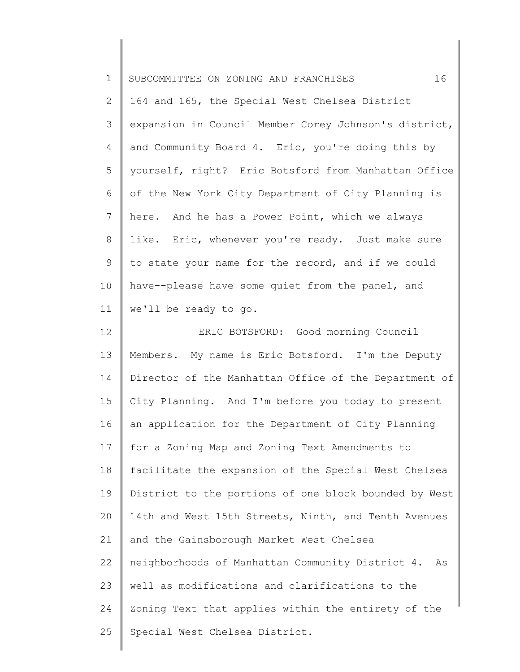| $\mathbf 1$    | 16<br>SUBCOMMITTEE ON ZONING AND FRANCHISES            |
|----------------|--------------------------------------------------------|
| $\mathbf{2}$   | 164 and 165, the Special West Chelsea District         |
| 3              | expansion in Council Member Corey Johnson's district,  |
| 4              | and Community Board 4. Eric, you're doing this by      |
| 5              | yourself, right? Eric Botsford from Manhattan Office   |
| 6              | of the New York City Department of City Planning is    |
| $\overline{7}$ | here. And he has a Power Point, which we always        |
| $8\,$          | like. Eric, whenever you're ready. Just make sure      |
| 9              | to state your name for the record, and if we could     |
| 10             | have--please have some quiet from the panel, and       |
| 11             | we'll be ready to go.                                  |
| 12             | ERIC BOTSFORD: Good morning Council                    |
| 13             | Members. My name is Eric Botsford. I'm the Deputy      |
| 14             | Director of the Manhattan Office of the Department of  |
| 15             | City Planning. And I'm before you today to present     |
| 16             | an application for the Department of City Planning     |
| 17             | for a Zoning Map and Zoning Text Amendments to         |
| 18             | facilitate the expansion of the Special West Chelsea   |
| 19             | District to the portions of one block bounded by West  |
| 20             | 14th and West 15th Streets, Ninth, and Tenth Avenues   |
| 21             | and the Gainsborough Market West Chelsea               |
| 22             | neighborhoods of Manhattan Community District 4.<br>As |
| 23             | well as modifications and clarifications to the        |
| 24             | Zoning Text that applies within the entirety of the    |
| 25             | Special West Chelsea District.                         |
|                |                                                        |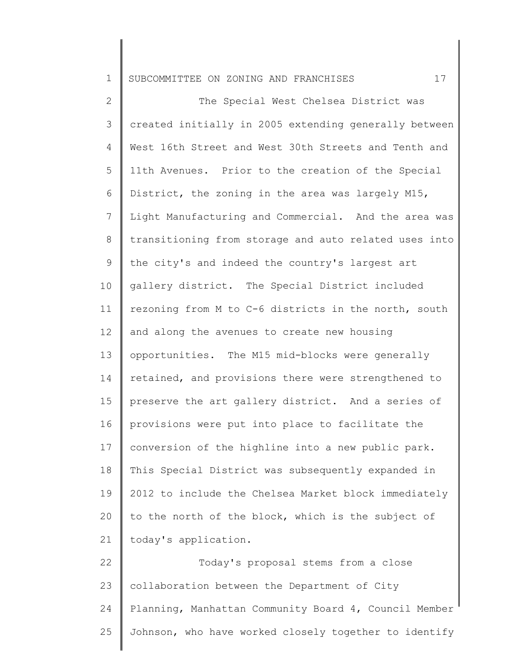2 3 4 5 6 7 8 9 10 11 12 13 14 15 16 17 18 19 20 21 22 The Special West Chelsea District was created initially in 2005 extending generally between West 16th Street and West 30th Streets and Tenth and 11th Avenues. Prior to the creation of the Special District, the zoning in the area was largely M15, Light Manufacturing and Commercial. And the area was transitioning from storage and auto related uses into the city's and indeed the country's largest art gallery district. The Special District included rezoning from M to C-6 districts in the north, south and along the avenues to create new housing opportunities. The M15 mid-blocks were generally retained, and provisions there were strengthened to preserve the art gallery district. And a series of provisions were put into place to facilitate the conversion of the highline into a new public park. This Special District was subsequently expanded in 2012 to include the Chelsea Market block immediately to the north of the block, which is the subject of today's application. Today's proposal stems from a close

23 24 25 collaboration between the Department of City Planning, Manhattan Community Board 4, Council Member Johnson, who have worked closely together to identify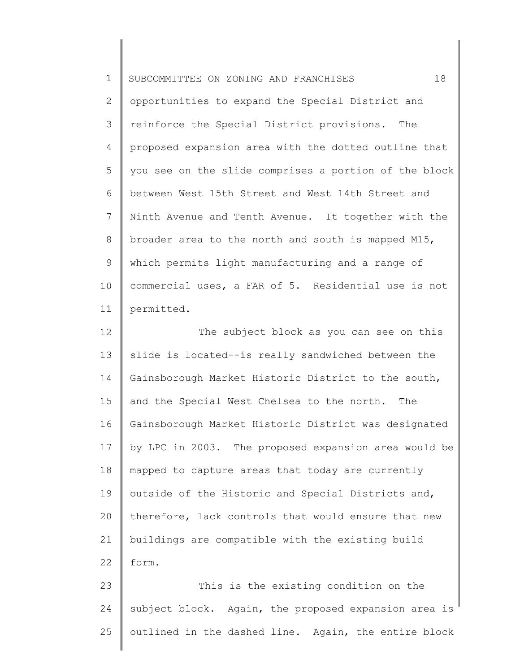| $\mathbf 1$    | 18<br>SUBCOMMITTEE ON ZONING AND FRANCHISES           |
|----------------|-------------------------------------------------------|
| $\overline{2}$ | opportunities to expand the Special District and      |
| 3              | reinforce the Special District provisions.<br>The     |
| 4              | proposed expansion area with the dotted outline that  |
| 5              | you see on the slide comprises a portion of the block |
| 6              | between West 15th Street and West 14th Street and     |
| 7              | Ninth Avenue and Tenth Avenue. It together with the   |
| 8              | broader area to the north and south is mapped M15,    |
| 9              | which permits light manufacturing and a range of      |
| 10             | commercial uses, a FAR of 5. Residential use is not   |
| 11             | permitted.                                            |
| 12             | The subject block as you can see on this              |
| 13             | slide is located--is really sandwiched between the    |
| 14             | Gainsborough Market Historic District to the south,   |
| 15             | and the Special West Chelsea to the north.<br>The     |
| 16             | Gainsborough Market Historic District was designated  |
| 17             | by LPC in 2003. The proposed expansion area would be  |
| 18             | mapped to capture areas that today are currently      |
| 19             | outside of the Historic and Special Districts and,    |
| 20             | therefore, lack controls that would ensure that new   |
| 21             | buildings are compatible with the existing build      |
| 22             | form.                                                 |
| 23             | This is the existing condition on the                 |
| 24             | subject block. Again, the proposed expansion area is  |
| 25             | outlined in the dashed line. Again, the entire block  |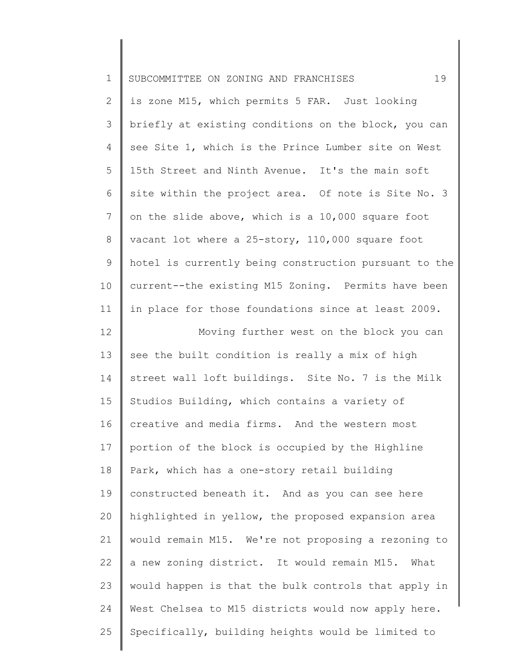| $\mathbf 1$ | 19<br>SUBCOMMITTEE ON ZONING AND FRANCHISES           |
|-------------|-------------------------------------------------------|
| 2           | is zone M15, which permits 5 FAR. Just looking        |
| 3           | briefly at existing conditions on the block, you can  |
| 4           | see Site 1, which is the Prince Lumber site on West   |
| 5           | 15th Street and Ninth Avenue. It's the main soft      |
| 6           | site within the project area. Of note is Site No. 3   |
| 7           | on the slide above, which is a 10,000 square foot     |
| 8           | vacant lot where a 25-story, 110,000 square foot      |
| $\mathsf 9$ | hotel is currently being construction pursuant to the |
| 10          | current--the existing M15 Zoning. Permits have been   |
| 11          | in place for those foundations since at least 2009.   |
| 12          | Moving further west on the block you can              |
| 13          | see the built condition is really a mix of high       |
| 14          | street wall loft buildings. Site No. 7 is the Milk    |
| 15          | Studios Building, which contains a variety of         |
| 16          | creative and media firms. And the western most        |
| 17          | portion of the block is occupied by the Highline      |
| 18          | Park, which has a one-story retail building           |
| 19          | constructed beneath it. And as you can see here       |
| 20          | highlighted in yellow, the proposed expansion area    |
| 21          | would remain M15. We're not proposing a rezoning to   |
| 22          | a new zoning district. It would remain M15. What      |
| 23          | would happen is that the bulk controls that apply in  |
| 24          | West Chelsea to M15 districts would now apply here.   |
| 25          | Specifically, building heights would be limited to    |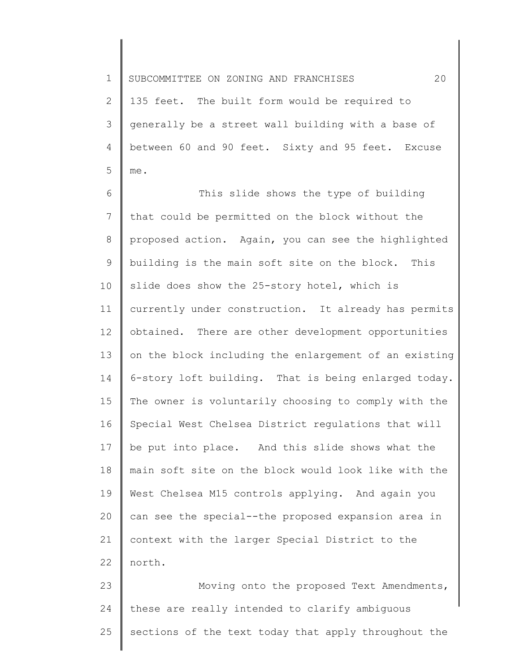2 3 4 5 135 feet. The built form would be required to generally be a street wall building with a base of between 60 and 90 feet. Sixty and 95 feet. Excuse me.

6 7 8 9 10 11 12 13 14 15 16 17 18 19 20 21 22 This slide shows the type of building that could be permitted on the block without the proposed action. Again, you can see the highlighted building is the main soft site on the block. This slide does show the 25-story hotel, which is currently under construction. It already has permits obtained. There are other development opportunities on the block including the enlargement of an existing 6-story loft building. That is being enlarged today. The owner is voluntarily choosing to comply with the Special West Chelsea District regulations that will be put into place. And this slide shows what the main soft site on the block would look like with the West Chelsea M15 controls applying. And again you can see the special--the proposed expansion area in context with the larger Special District to the north.

23 24 25 Moving onto the proposed Text Amendments, these are really intended to clarify ambiguous sections of the text today that apply throughout the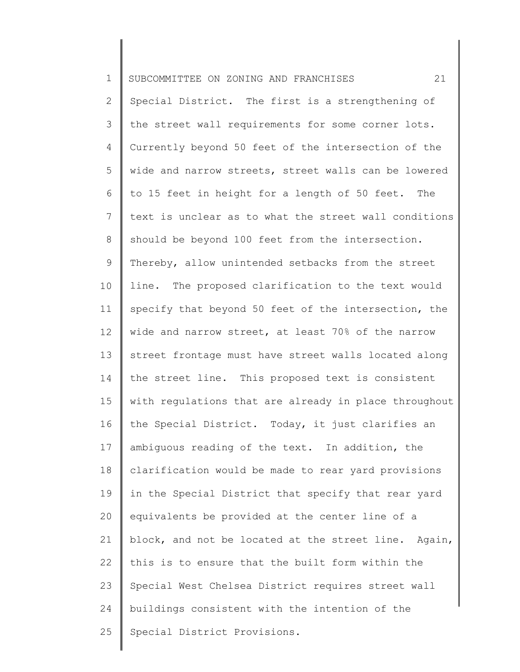| $\mathbf 1$    | 21<br>SUBCOMMITTEE ON ZONING AND FRANCHISES           |
|----------------|-------------------------------------------------------|
| $\mathbf{2}$   | Special District. The first is a strengthening of     |
| 3              | the street wall requirements for some corner lots.    |
| 4              | Currently beyond 50 feet of the intersection of the   |
| 5              | wide and narrow streets, street walls can be lowered  |
| 6              | to 15 feet in height for a length of 50 feet. The     |
| $7\phantom{.}$ | text is unclear as to what the street wall conditions |
| $8\,$          | should be beyond 100 feet from the intersection.      |
| 9              | Thereby, allow unintended setbacks from the street    |
| 10             | line. The proposed clarification to the text would    |
| 11             | specify that beyond 50 feet of the intersection, the  |
| 12             | wide and narrow street, at least 70% of the narrow    |
| 13             | street frontage must have street walls located along  |
| 14             | the street line. This proposed text is consistent     |
| 15             | with regulations that are already in place throughout |
| 16             | the Special District. Today, it just clarifies an     |
| 17             | ambiguous reading of the text. In addition, the       |
| 18             | clarification would be made to rear yard provisions   |
| 19             | in the Special District that specify that rear yard   |
| 20             | equivalents be provided at the center line of a       |
| 21             | block, and not be located at the street line. Again,  |
| 22             | this is to ensure that the built form within the      |
| 23             | Special West Chelsea District requires street wall    |
| 24             | buildings consistent with the intention of the        |
| 25             | Special District Provisions.                          |
|                |                                                       |

║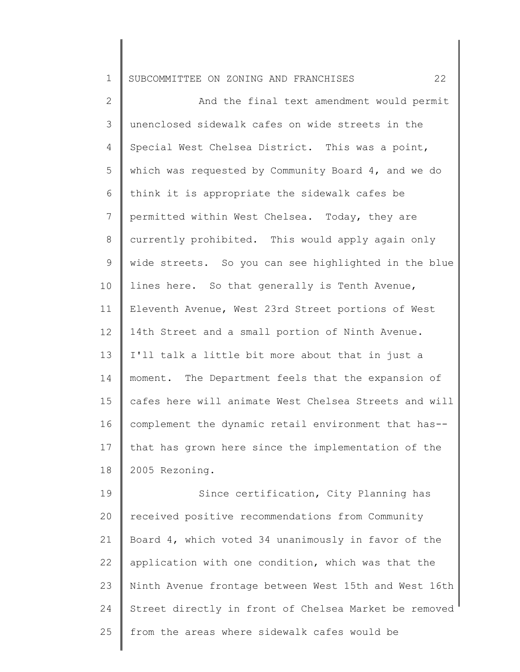2 3 4 5 6 7 8 9 10 11 12 13 14 15 16 17 18 And the final text amendment would permit unenclosed sidewalk cafes on wide streets in the Special West Chelsea District. This was a point, which was requested by Community Board 4, and we do think it is appropriate the sidewalk cafes be permitted within West Chelsea. Today, they are currently prohibited. This would apply again only wide streets. So you can see highlighted in the blue lines here. So that generally is Tenth Avenue, Eleventh Avenue, West 23rd Street portions of West 14th Street and a small portion of Ninth Avenue. I'll talk a little bit more about that in just a moment. The Department feels that the expansion of cafes here will animate West Chelsea Streets and will complement the dynamic retail environment that has- that has grown here since the implementation of the 2005 Rezoning.

19 20 21 22 23 24 25 Since certification, City Planning has received positive recommendations from Community Board 4, which voted 34 unanimously in favor of the application with one condition, which was that the Ninth Avenue frontage between West 15th and West 16th Street directly in front of Chelsea Market be removed from the areas where sidewalk cafes would be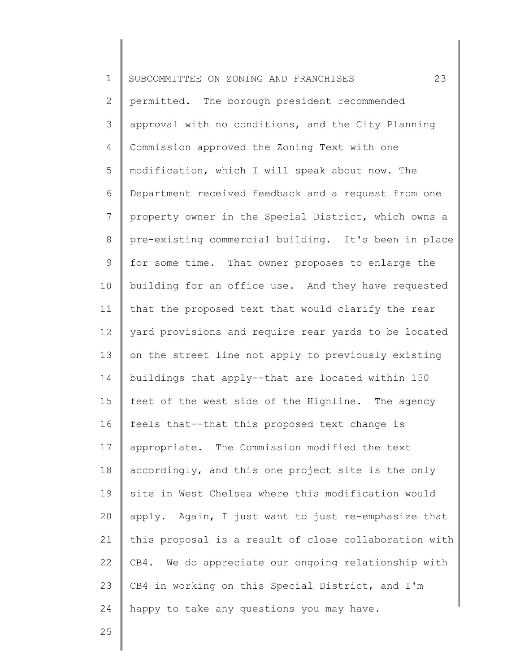| $\mathbf 1$    | 23<br>SUBCOMMITTEE ON ZONING AND FRANCHISES           |
|----------------|-------------------------------------------------------|
| 2              | permitted. The borough president recommended          |
| 3              | approval with no conditions, and the City Planning    |
| 4              | Commission approved the Zoning Text with one          |
| 5              | modification, which I will speak about now. The       |
| 6              | Department received feedback and a request from one   |
| $7\phantom{.}$ | property owner in the Special District, which owns a  |
| $8\,$          | pre-existing commercial building. It's been in place  |
| 9              | for some time. That owner proposes to enlarge the     |
| 10             | building for an office use. And they have requested   |
| 11             | that the proposed text that would clarify the rear    |
| 12             | yard provisions and require rear yards to be located  |
| 13             | on the street line not apply to previously existing   |
| 14             | buildings that apply--that are located within 150     |
| 15             | feet of the west side of the Highline. The agency     |
| 16             | feels that--that this proposed text change is         |
| 17             | appropriate. The Commission modified the text         |
| 18             | accordingly, and this one project site is the only    |
| 19             | site in West Chelsea where this modification would    |
| 20             | apply. Again, I just want to just re-emphasize that   |
| 21             | this proposal is a result of close collaboration with |
| 22             | CB4. We do appreciate our ongoing relationship with   |
| 23             | CB4 in working on this Special District, and I'm      |
| 24             | happy to take any questions you may have.             |
|                |                                                       |

25

Ι

 $\mathsf I$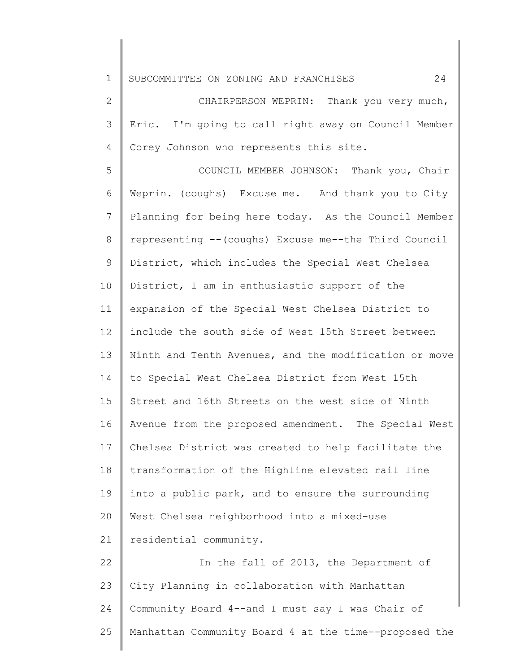2 3 4 CHAIRPERSON WEPRIN: Thank you very much, Eric. I'm going to call right away on Council Member Corey Johnson who represents this site.

5 6 7 8 9 10 11 12 13 14 15 16 17 18 19 20 21 22 COUNCIL MEMBER JOHNSON: Thank you, Chair Weprin. (coughs) Excuse me. And thank you to City Planning for being here today. As the Council Member representing --(coughs) Excuse me--the Third Council District, which includes the Special West Chelsea District, I am in enthusiastic support of the expansion of the Special West Chelsea District to include the south side of West 15th Street between Ninth and Tenth Avenues, and the modification or move to Special West Chelsea District from West 15th Street and 16th Streets on the west side of Ninth Avenue from the proposed amendment. The Special West Chelsea District was created to help facilitate the transformation of the Highline elevated rail line into a public park, and to ensure the surrounding West Chelsea neighborhood into a mixed-use residential community. In the fall of 2013, the Department of

23 24 25 City Planning in collaboration with Manhattan Community Board 4--and I must say I was Chair of Manhattan Community Board 4 at the time--proposed the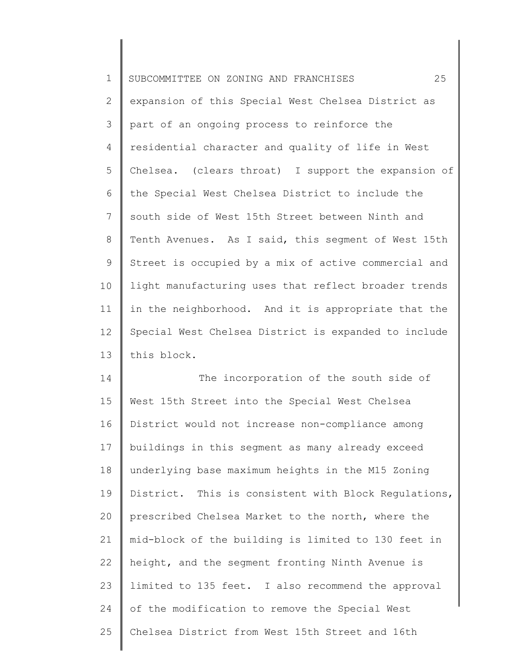| $\mathbf 1$  | 25<br>SUBCOMMITTEE ON ZONING AND FRANCHISES          |
|--------------|------------------------------------------------------|
| $\mathbf{2}$ | expansion of this Special West Chelsea District as   |
| 3            | part of an ongoing process to reinforce the          |
| 4            | residential character and quality of life in West    |
| 5            | Chelsea. (clears throat) I support the expansion of  |
| 6            | the Special West Chelsea District to include the     |
| 7            | south side of West 15th Street between Ninth and     |
| 8            | Tenth Avenues. As I said, this segment of West 15th  |
| 9            | Street is occupied by a mix of active commercial and |
| 10           | light manufacturing uses that reflect broader trends |
| 11           | in the neighborhood. And it is appropriate that the  |
| 12           | Special West Chelsea District is expanded to include |
| 13           | this block.                                          |
| 14           | The incorporation of the south side of               |
| 15           | West 15th Street into the Special West Chelsea       |
| 16           | District would not increase non-compliance among     |

16 17 18 19 20 21 22 23 24 25 District would not increase non-compliance among buildings in this segment as many already exceed underlying base maximum heights in the M15 Zoning District. This is consistent with Block Regulations, prescribed Chelsea Market to the north, where the mid-block of the building is limited to 130 feet in height, and the segment fronting Ninth Avenue is limited to 135 feet. I also recommend the approval of the modification to remove the Special West Chelsea District from West 15th Street and 16th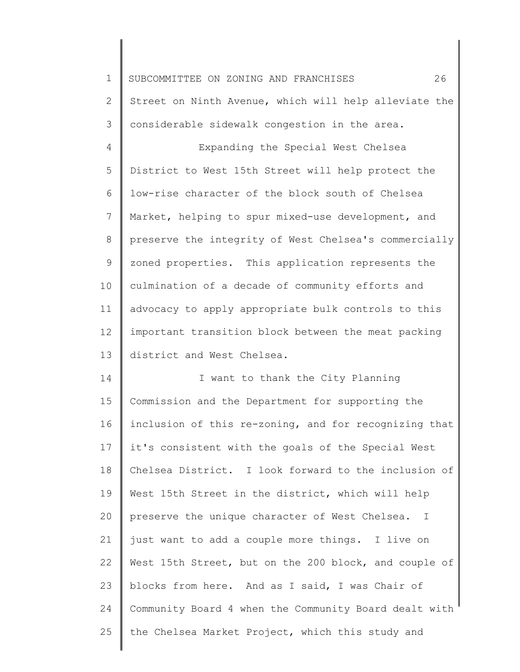1 2 3 4 5 6 7 8 9 10 11 12 13 14 15 16 17 18 19 20 21 22 23 24 25 SUBCOMMITTEE ON ZONING AND FRANCHISES 26 Street on Ninth Avenue, which will help alleviate the considerable sidewalk congestion in the area. Expanding the Special West Chelsea District to West 15th Street will help protect the low-rise character of the block south of Chelsea Market, helping to spur mixed-use development, and preserve the integrity of West Chelsea's commercially zoned properties. This application represents the culmination of a decade of community efforts and advocacy to apply appropriate bulk controls to this important transition block between the meat packing district and West Chelsea. I want to thank the City Planning Commission and the Department for supporting the inclusion of this re-zoning, and for recognizing that it's consistent with the goals of the Special West Chelsea District. I look forward to the inclusion of West 15th Street in the district, which will help preserve the unique character of West Chelsea. I just want to add a couple more things. I live on West 15th Street, but on the 200 block, and couple of blocks from here. And as I said, I was Chair of Community Board 4 when the Community Board dealt with the Chelsea Market Project, which this study and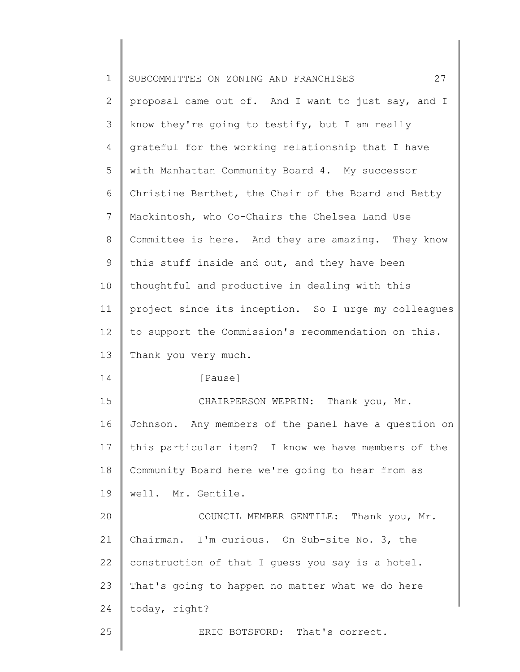| $\mathbf 1$    | 27<br>SUBCOMMITTEE ON ZONING AND FRANCHISES          |
|----------------|------------------------------------------------------|
| $\mathbf{2}$   | proposal came out of. And I want to just say, and I  |
| 3              | know they're going to testify, but I am really       |
| 4              | grateful for the working relationship that I have    |
| 5              | with Manhattan Community Board 4. My successor       |
| 6              | Christine Berthet, the Chair of the Board and Betty  |
| $\overline{7}$ | Mackintosh, who Co-Chairs the Chelsea Land Use       |
| 8              | Committee is here. And they are amazing. They know   |
| 9              | this stuff inside and out, and they have been        |
| 10             | thoughtful and productive in dealing with this       |
| 11             | project since its inception. So I urge my colleagues |
| 12             | to support the Commission's recommendation on this.  |
| 13             | Thank you very much.                                 |
| 14             | [Pause]                                              |
| 15             | CHAIRPERSON WEPRIN: Thank you, Mr.                   |
| 16             | Johnson. Any members of the panel have a question on |
| 17             | this particular item? I know we have members of the  |
| 18             | Community Board here we're going to hear from as     |
| 19             | well. Mr. Gentile.                                   |
| 20             | COUNCIL MEMBER GENTILE: Thank you, Mr.               |
| 21             | Chairman. I'm curious. On Sub-site No. 3, the        |
| 22             | construction of that I guess you say is a hotel.     |
| 23             | That's going to happen no matter what we do here     |
| 24             | today, right?                                        |
| 25             | ERIC BOTSFORD: That's correct.                       |
|                |                                                      |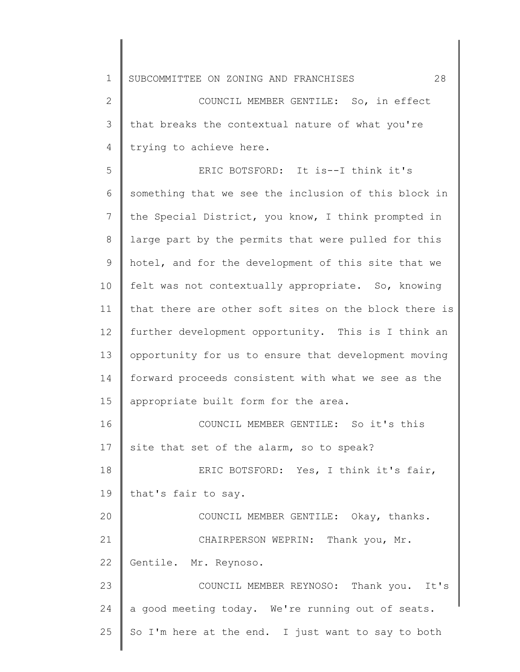2 3 4 COUNCIL MEMBER GENTILE: So, in effect that breaks the contextual nature of what you're trying to achieve here.

5 6 7 8 9 10 11 12 13 14 15 16 17 18 19 20 21 22 23 24 ERIC BOTSFORD: It is--I think it's something that we see the inclusion of this block in the Special District, you know, I think prompted in large part by the permits that were pulled for this hotel, and for the development of this site that we felt was not contextually appropriate. So, knowing that there are other soft sites on the block there is further development opportunity. This is I think an opportunity for us to ensure that development moving forward proceeds consistent with what we see as the appropriate built form for the area. COUNCIL MEMBER GENTILE: So it's this site that set of the alarm, so to speak? ERIC BOTSFORD: Yes, I think it's fair, that's fair to say. COUNCIL MEMBER GENTILE: Okay, thanks. CHAIRPERSON WEPRIN: Thank you, Mr. Gentile. Mr. Reynoso. COUNCIL MEMBER REYNOSO: Thank you. It's a good meeting today. We're running out of seats.

So I'm here at the end. I just want to say to both

25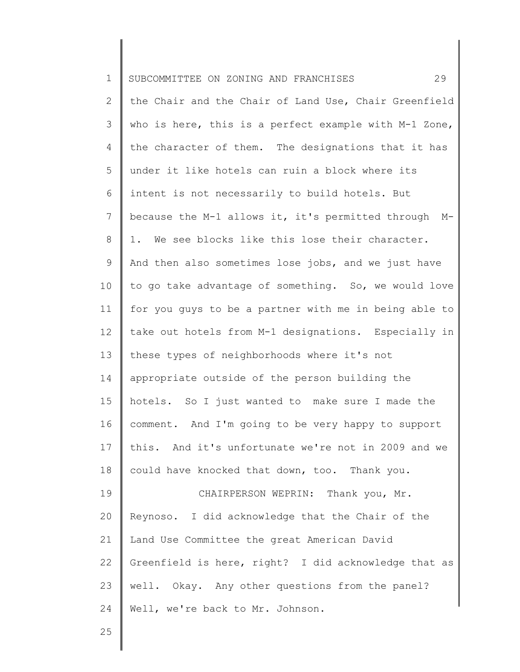| $\mathbf 1$     | 29<br>SUBCOMMITTEE ON ZONING AND FRANCHISES                |
|-----------------|------------------------------------------------------------|
| $\mathbf{2}$    | the Chair and the Chair of Land Use, Chair Greenfield      |
| 3               | who is here, this is a perfect example with M-1 Zone,      |
| 4               | the character of them. The designations that it has        |
| 5               | under it like hotels can ruin a block where its            |
| 6               | intent is not necessarily to build hotels. But             |
| 7               | because the M-1 allows it, it's permitted through<br>$M -$ |
| 8               | 1. We see blocks like this lose their character.           |
| 9               | And then also sometimes lose jobs, and we just have        |
| 10 <sub>o</sub> | to go take advantage of something. So, we would love       |
| 11              | for you quys to be a partner with me in being able to      |
| 12              | take out hotels from M-1 designations. Especially in       |
| 13              | these types of neighborhoods where it's not                |
| 14              | appropriate outside of the person building the             |
| 15              | hotels. So I just wanted to make sure I made the           |
| 16              | comment. And I'm going to be very happy to support         |
| 17              | this. And it's unfortunate we're not in 2009 and we        |
| 18              | could have knocked that down, too. Thank you.              |
| 19              | CHAIRPERSON WEPRIN: Thank you, Mr.                         |
| 20              | Reynoso. I did acknowledge that the Chair of the           |
| 21              | Land Use Committee the great American David                |
| 22              | Greenfield is here, right? I did acknowledge that as       |
| 23              | well. Okay. Any other questions from the panel?            |
| 24              | Well, we're back to Mr. Johnson.                           |
| 25              |                                                            |

25

║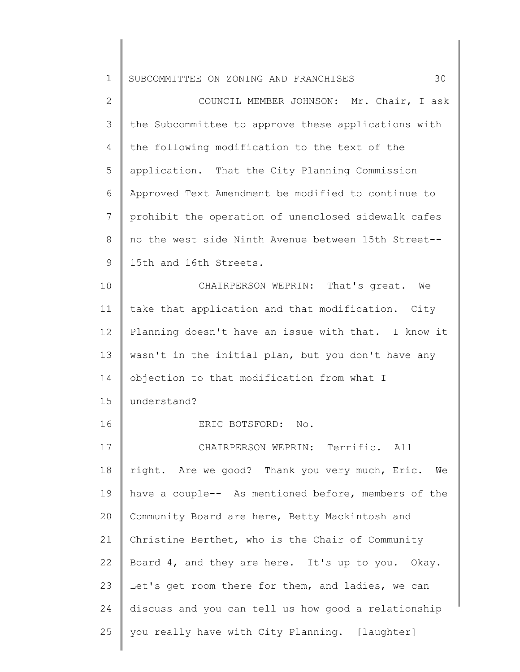| $\mathbf 1$   | 30<br>SUBCOMMITTEE ON ZONING AND FRANCHISES          |
|---------------|------------------------------------------------------|
| $\mathbf 2$   | COUNCIL MEMBER JOHNSON: Mr. Chair, I ask             |
| $\mathcal{S}$ | the Subcommittee to approve these applications with  |
| 4             | the following modification to the text of the        |
| 5             | application. That the City Planning Commission       |
| 6             | Approved Text Amendment be modified to continue to   |
| 7             | prohibit the operation of unenclosed sidewalk cafes  |
| $8\,$         | no the west side Ninth Avenue between 15th Street--  |
| $\mathsf 9$   | 15th and 16th Streets.                               |
| 10            | CHAIRPERSON WEPRIN: That's great. We                 |
| 11            | take that application and that modification. City    |
| 12            | Planning doesn't have an issue with that. I know it  |
| 13            | wasn't in the initial plan, but you don't have any   |
| 14            | objection to that modification from what I           |
| 15            | understand?                                          |
| 16            | ERIC BOTSFORD:<br>$\mathbb N$ o.                     |
| 17            | CHAIRPERSON WEPRIN: Terrific. All                    |
| 18            | right. Are we good? Thank you very much, Eric.<br>We |
| 19            | have a couple-- As mentioned before, members of the  |
| 20            | Community Board are here, Betty Mackintosh and       |
| 21            | Christine Berthet, who is the Chair of Community     |
| 22            | Board 4, and they are here. It's up to you. Okay.    |
| 23            | Let's get room there for them, and ladies, we can    |
| 24            | discuss and you can tell us how good a relationship  |
| 25            | you really have with City Planning. [laughter]       |

 $\begin{array}{c} \hline \end{array}$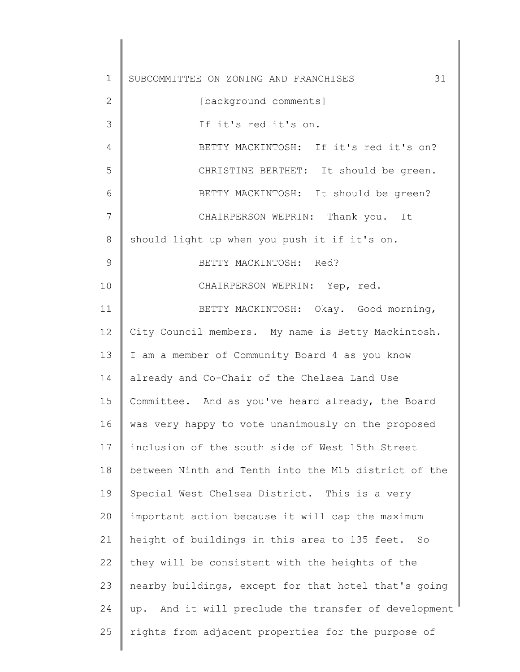1 2 3 4 5 6 7 8 9 10 11 12 13 14 15 16 17 18 19 20 21 22 23 24 25 SUBCOMMITTEE ON ZONING AND FRANCHISES 31 [background comments] If it's red it's on. BETTY MACKINTOSH: If it's red it's on? CHRISTINE BERTHET: It should be green. BETTY MACKINTOSH: It should be green? CHAIRPERSON WEPRIN: Thank you. It should light up when you push it if it's on. BETTY MACKINTOSH: Red? CHAIRPERSON WEPRIN: Yep, red. BETTY MACKINTOSH: Okay. Good morning, City Council members. My name is Betty Mackintosh. I am a member of Community Board 4 as you know already and Co-Chair of the Chelsea Land Use Committee. And as you've heard already, the Board was very happy to vote unanimously on the proposed inclusion of the south side of West 15th Street between Ninth and Tenth into the M15 district of the Special West Chelsea District. This is a very important action because it will cap the maximum height of buildings in this area to 135 feet. So they will be consistent with the heights of the nearby buildings, except for that hotel that's going up. And it will preclude the transfer of development rights from adjacent properties for the purpose of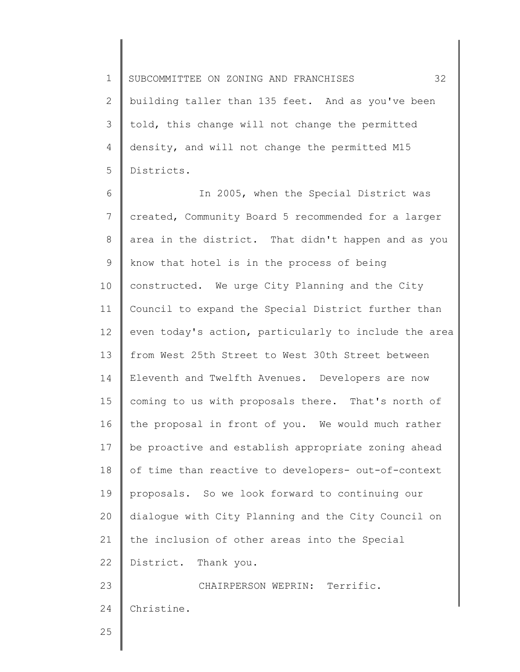1 2 3 4 5 SUBCOMMITTEE ON ZONING AND FRANCHISES 32 building taller than 135 feet. And as you've been told, this change will not change the permitted density, and will not change the permitted M15 Districts.

6 7 8 9 10 11 12 13 14 15 16 17 18 19 20 21 22 23 24 In 2005, when the Special District was created, Community Board 5 recommended for a larger area in the district. That didn't happen and as you know that hotel is in the process of being constructed. We urge City Planning and the City Council to expand the Special District further than even today's action, particularly to include the area from West 25th Street to West 30th Street between Eleventh and Twelfth Avenues. Developers are now coming to us with proposals there. That's north of the proposal in front of you. We would much rather be proactive and establish appropriate zoning ahead of time than reactive to developers- out-of-context proposals. So we look forward to continuing our dialogue with City Planning and the City Council on the inclusion of other areas into the Special District. Thank you. CHAIRPERSON WEPRIN: Terrific. Christine.

25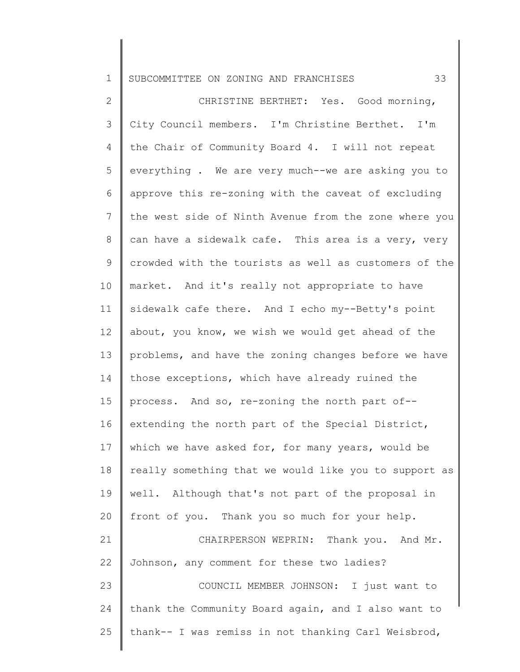2 3 4 5 6 7 8 9 10 11 12 13 14 15 16 17 18 19 20 21 22 23 24 25 CHRISTINE BERTHET: Yes. Good morning, City Council members. I'm Christine Berthet. I'm the Chair of Community Board 4. I will not repeat everything . We are very much--we are asking you to approve this re-zoning with the caveat of excluding the west side of Ninth Avenue from the zone where you can have a sidewalk cafe. This area is a very, very crowded with the tourists as well as customers of the market. And it's really not appropriate to have sidewalk cafe there. And I echo my--Betty's point about, you know, we wish we would get ahead of the problems, and have the zoning changes before we have those exceptions, which have already ruined the process. And so, re-zoning the north part of- extending the north part of the Special District, which we have asked for, for many years, would be really something that we would like you to support as well. Although that's not part of the proposal in front of you. Thank you so much for your help. CHAIRPERSON WEPRIN: Thank you. And Mr. Johnson, any comment for these two ladies? COUNCIL MEMBER JOHNSON: I just want to thank the Community Board again, and I also want to thank-- I was remiss in not thanking Carl Weisbrod,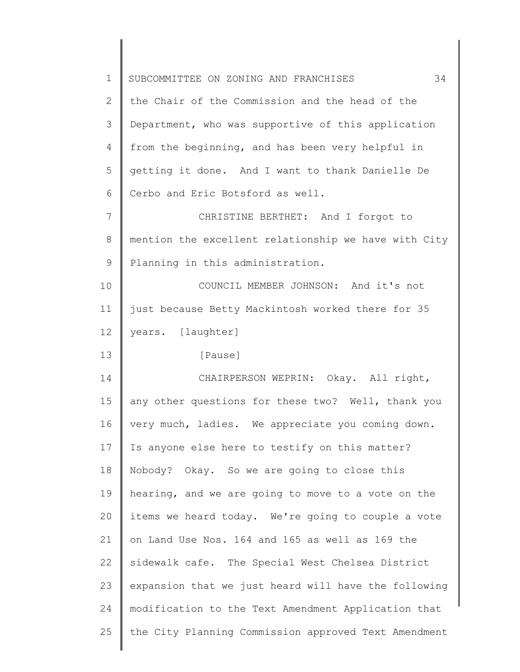| $\mathbf 1$ | 34<br>SUBCOMMITTEE ON ZONING AND FRANCHISES          |
|-------------|------------------------------------------------------|
| 2           | the Chair of the Commission and the head of the      |
| 3           | Department, who was supportive of this application   |
| 4           | from the beginning, and has been very helpful in     |
| 5           | getting it done. And I want to thank Danielle De     |
| 6           | Cerbo and Eric Botsford as well.                     |
| 7           | CHRISTINE BERTHET: And I forgot to                   |
| 8           | mention the excellent relationship we have with City |
| 9           | Planning in this administration.                     |
| 10          | COUNCIL MEMBER JOHNSON: And it's not                 |
| 11          | just because Betty Mackintosh worked there for 35    |
| 12          | years. [laughter]                                    |
| 13          | [Pause]                                              |
| 14          | CHAIRPERSON WEPRIN: Okay. All right,                 |
| 15          | any other questions for these two? Well, thank you   |
| 16          | very much, ladies. We appreciate you coming down.    |
| 17          | Is anyone else here to testify on this matter?       |
| 18          | Nobody? Okay. So we are going to close this          |
| 19          | hearing, and we are going to move to a vote on the   |
| 20          | items we heard today. We're going to couple a vote   |
| 21          | on Land Use Nos. 164 and 165 as well as 169 the      |
| 22          | sidewalk cafe. The Special West Chelsea District     |
| 23          | expansion that we just heard will have the following |
| 24          | modification to the Text Amendment Application that  |
| 25          | the City Planning Commission approved Text Amendment |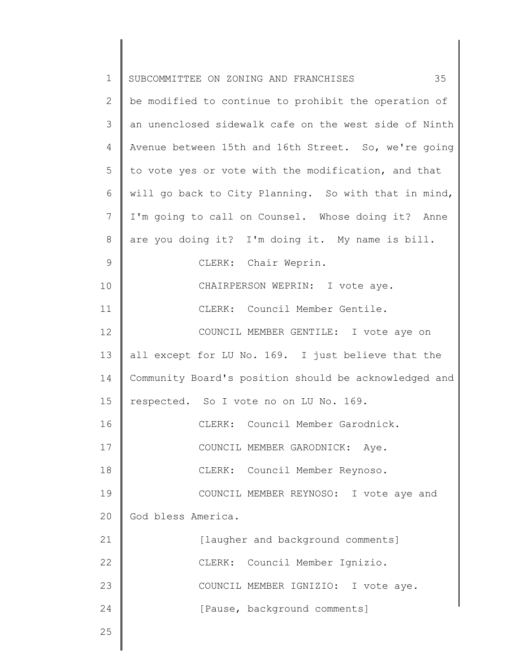| $\mathbf 1$   | 35<br>SUBCOMMITTEE ON ZONING AND FRANCHISES           |
|---------------|-------------------------------------------------------|
| $\mathbf{2}$  | be modified to continue to prohibit the operation of  |
| 3             | an unenclosed sidewalk cafe on the west side of Ninth |
| 4             | Avenue between 15th and 16th Street. So, we're going  |
| 5             | to vote yes or vote with the modification, and that   |
| 6             | will go back to City Planning. So with that in mind,  |
| 7             | I'm going to call on Counsel. Whose doing it? Anne    |
| 8             | are you doing it? I'm doing it. My name is bill.      |
| $\mathcal{G}$ | CLERK: Chair Weprin.                                  |
| 10            | CHAIRPERSON WEPRIN: I vote aye.                       |
| 11            | CLERK: Council Member Gentile.                        |
| 12            | COUNCIL MEMBER GENTILE: I vote aye on                 |
| 13            | all except for LU No. 169. I just believe that the    |
| 14            | Community Board's position should be acknowledged and |
| 15            | respected. So I vote no on LU No. 169.                |
| 16            | CLERK: Council Member Garodnick.                      |
| 17            | COUNCIL MEMBER GARODNICK: Aye.                        |
| 18            | CLERK: Council Member Reynoso.                        |
| 19            | COUNCIL MEMBER REYNOSO: I vote aye and                |
| 20            | God bless America.                                    |
| 21            | [laugher and background comments]                     |
| 22            | CLERK: Council Member Ignizio.                        |
| 23            | COUNCIL MEMBER IGNIZIO: I vote aye.                   |
| 24            | [Pause, background comments]                          |
| 25            |                                                       |
|               |                                                       |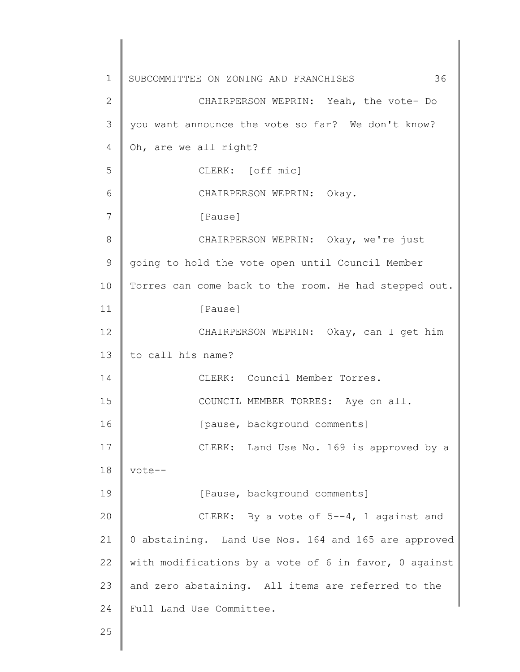1 2 3 4 5 6 7 8 9 10 11 12 13 14 15 16 17 18 19 20 21 22 23 24 25 SUBCOMMITTEE ON ZONING AND FRANCHISES 36 CHAIRPERSON WEPRIN: Yeah, the vote- Do you want announce the vote so far? We don't know? Oh, are we all right? CLERK: [off mic] CHAIRPERSON WEPRIN: Okay. [Pause] CHAIRPERSON WEPRIN: Okay, we're just going to hold the vote open until Council Member Torres can come back to the room. He had stepped out. [Pause] CHAIRPERSON WEPRIN: Okay, can I get him to call his name? CLERK: Council Member Torres. COUNCIL MEMBER TORRES: Aye on all. [pause, background comments] CLERK: Land Use No. 169 is approved by a vote-- [Pause, background comments] CLERK: By a vote of 5--4, 1 against and 0 abstaining. Land Use Nos. 164 and 165 are approved with modifications by a vote of 6 in favor, 0 against and zero abstaining. All items are referred to the Full Land Use Committee.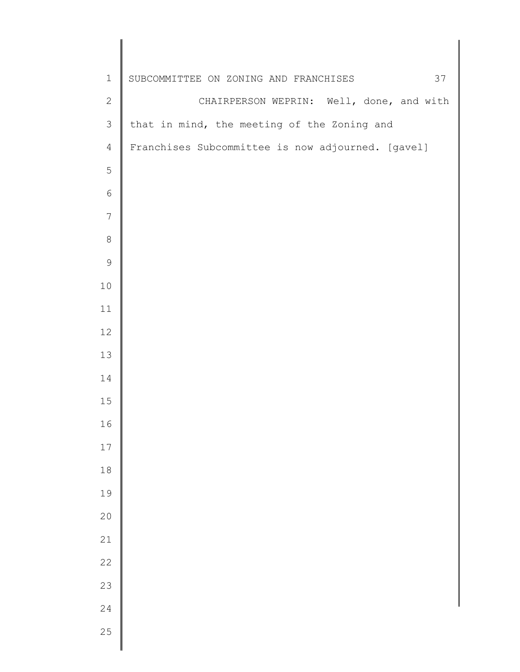| $1\,$           | 37<br>SUBCOMMITTEE ON ZONING AND FRANCHISES       |
|-----------------|---------------------------------------------------|
| $\sqrt{2}$      | CHAIRPERSON WEPRIN: Well, done, and with          |
| $\mathfrak{Z}$  | that in mind, the meeting of the Zoning and       |
| $\overline{4}$  | Franchises Subcommittee is now adjourned. [gavel] |
| 5               |                                                   |
| $\epsilon$      |                                                   |
| $7\phantom{.0}$ |                                                   |
| $\,8\,$         |                                                   |
| $\mathsf 9$     |                                                   |
| $10$            |                                                   |
| 11              |                                                   |
| 12              |                                                   |
| 13              |                                                   |
| 14              |                                                   |
| 15              |                                                   |
| 16              |                                                   |
| $17\,$          |                                                   |
| $1\,8$          |                                                   |
| 19              |                                                   |
| 20              |                                                   |
| 21              |                                                   |
| 22              |                                                   |
| 23              |                                                   |
| 24              |                                                   |
| 25              |                                                   |
|                 |                                                   |